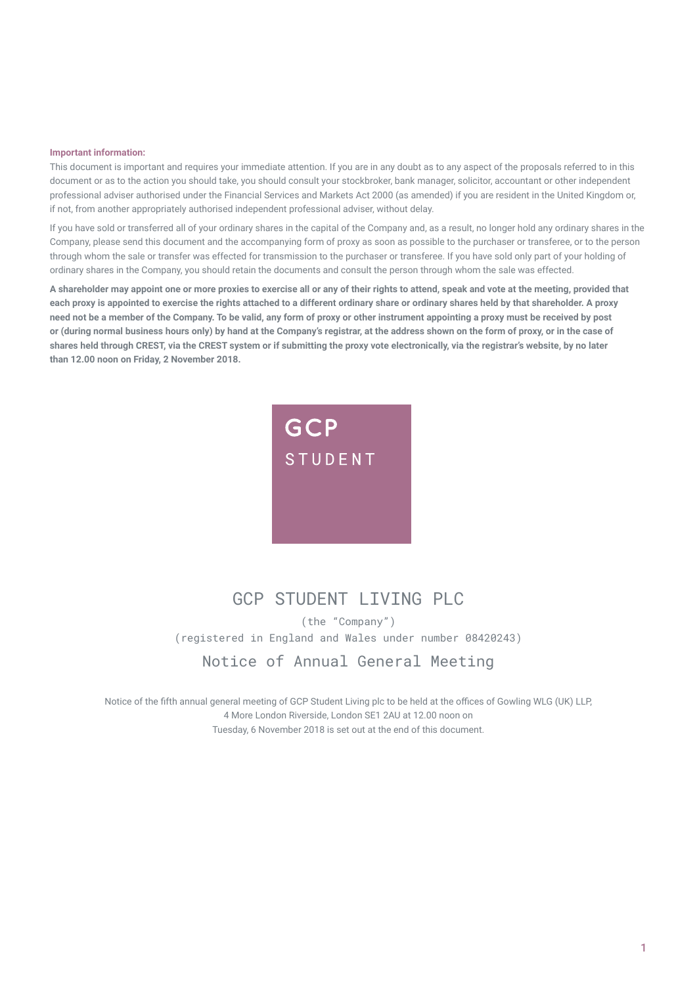#### **Important information:**

This document is important and requires your immediate attention. If you are in any doubt as to any aspect of the proposals referred to in this document or as to the action you should take, you should consult your stockbroker, bank manager, solicitor, accountant or other independent professional adviser authorised under the Financial Services and Markets Act 2000 (as amended) if you are resident in the United Kingdom or, if not, from another appropriately authorised independent professional adviser, without delay.

If you have sold or transferred all of your ordinary shares in the capital of the Company and, as a result, no longer hold any ordinary shares in the Company, please send this document and the accompanying form of proxy as soon as possible to the purchaser or transferee, or to the person through whom the sale or transfer was effected for transmission to the purchaser or transferee. If you have sold only part of your holding of ordinary shares in the Company, you should retain the documents and consult the person through whom the sale was effected.

**A shareholder may appoint one or more proxies to exercise all or any of their rights to attend, speak and vote at the meeting, provided that each proxy is appointed to exercise the rights attached to a different ordinary share or ordinary shares held by that shareholder. A proxy need not be a member of the Company. To be valid, any form of proxy or other instrument appointing a proxy must be received by post or (during normal business hours only) by hand at the Company's registrar, at the address shown on the form of proxy, or in the case of shares held through CREST, via the CREST system or if submitting the proxy vote electronically, via the registrar's website, by no later than 12.00 noon on Friday, 2 November 2018.** 



# GCP STUDENT I TVTNG PLC

(the "Company") (registered in England and Wales under number 08420243) Notice of Annual General Meeting

Notice of the fifth annual general meeting of GCP Student Living plc to be held at the offices of Gowling WLG (UK) LLP, 4 More London Riverside, London SE1 2AU at 12.00 noon on Tuesday, 6 November 2018 is set out at the end of this document.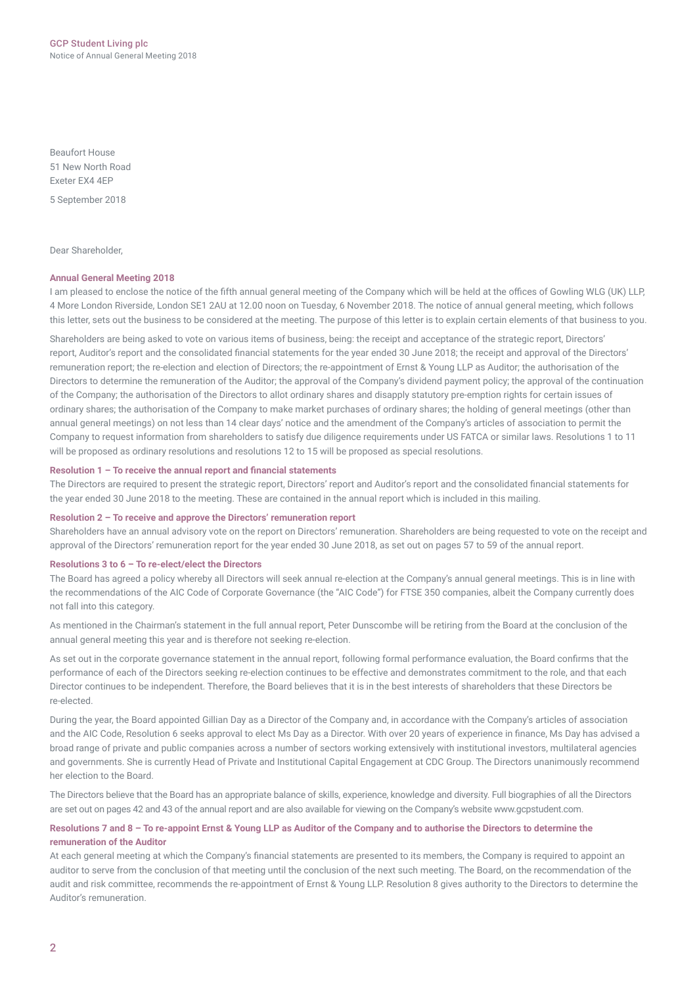Beaufort House 51 New North Road Exeter EX4 4EP

5 September 2018

Dear Shareholder,

### **Annual General Meeting 2018**

I am pleased to enclose the notice of the fifth annual general meeting of the Company which will be held at the offices of Gowling WLG (UK) LLP, 4 More London Riverside, London SE1 2AU at 12.00 noon on Tuesday, 6 November 2018. The notice of annual general meeting, which follows this letter, sets out the business to be considered at the meeting. The purpose of this letter is to explain certain elements of that business to you.

Shareholders are being asked to vote on various items of business, being: the receipt and acceptance of the strategic report, Directors' report, Auditor's report and the consolidated financial statements for the year ended 30 June 2018; the receipt and approval of the Directors' remuneration report; the re-election and election of Directors; the re‑appointment of Ernst & Young LLP as Auditor; the authorisation of the Directors to determine the remuneration of the Auditor; the approval of the Company's dividend payment policy; the approval of the continuation of the Company; the authorisation of the Directors to allot ordinary shares and disapply statutory pre‑emption rights for certain issues of ordinary shares; the authorisation of the Company to make market purchases of ordinary shares; the holding of general meetings (other than annual general meetings) on not less than 14 clear days' notice and the amendment of the Company's articles of association to permit the Company to request information from shareholders to satisfy due diligence requirements under US FATCA or similar laws. Resolutions 1 to 11 will be proposed as ordinary resolutions and resolutions 12 to 15 will be proposed as special resolutions.

## **Resolution 1 – To receive the annual report and financial statements**

The Directors are required to present the strategic report, Directors' report and Auditor's report and the consolidated financial statements for the year ended 30 June 2018 to the meeting. These are contained in the annual report which is included in this mailing.

#### **Resolution 2 – To receive and approve the Directors' remuneration report**

Shareholders have an annual advisory vote on the report on Directors' remuneration. Shareholders are being requested to vote on the receipt and approval of the Directors' remuneration report for the year ended 30 June 2018, as set out on pages 57 to 59 of the annual report.

#### **Resolutions 3 to 6 – To re‑elect/elect the Directors**

The Board has agreed a policy whereby all Directors will seek annual re-election at the Company's annual general meetings. This is in line with the recommendations of the AIC Code of Corporate Governance (the "AIC Code") for FTSE 350 companies, albeit the Company currently does not fall into this category.

As mentioned in the Chairman's statement in the full annual report, Peter Dunscombe will be retiring from the Board at the conclusion of the annual general meeting this year and is therefore not seeking re-election.

As set out in the corporate governance statement in the annual report, following formal performance evaluation, the Board confirms that the performance of each of the Directors seeking re-election continues to be effective and demonstrates commitment to the role, and that each Director continues to be independent. Therefore, the Board believes that it is in the best interests of shareholders that these Directors be re‑elected.

During the year, the Board appointed Gillian Day as a Director of the Company and, in accordance with the Company's articles of association and the AIC Code, Resolution 6 seeks approval to elect Ms Day as a Director. With over 20 years of experience in finance, Ms Day has advised a broad range of private and public companies across a number of sectors working extensively with institutional investors, multilateral agencies and governments. She is currently Head of Private and Institutional Capital Engagement at CDC Group. The Directors unanimously recommend her election to the Board.

The Directors believe that the Board has an appropriate balance of skills, experience, knowledge and diversity. Full biographies of all the Directors are set out on pages 42 and 43 of the annual report and are also available for viewing on the Company's website www.gcpstudent.com.

## **Resolutions 7 and 8 – To re-appoint Ernst & Young LLP as Auditor of the Company and to authorise the Directors to determine the remuneration of the Auditor**

At each general meeting at which the Company's financial statements are presented to its members, the Company is required to appoint an auditor to serve from the conclusion of that meeting until the conclusion of the next such meeting. The Board, on the recommendation of the audit and risk committee, recommends the re‑appointment of Ernst & Young LLP. Resolution 8 gives authority to the Directors to determine the Auditor's remuneration.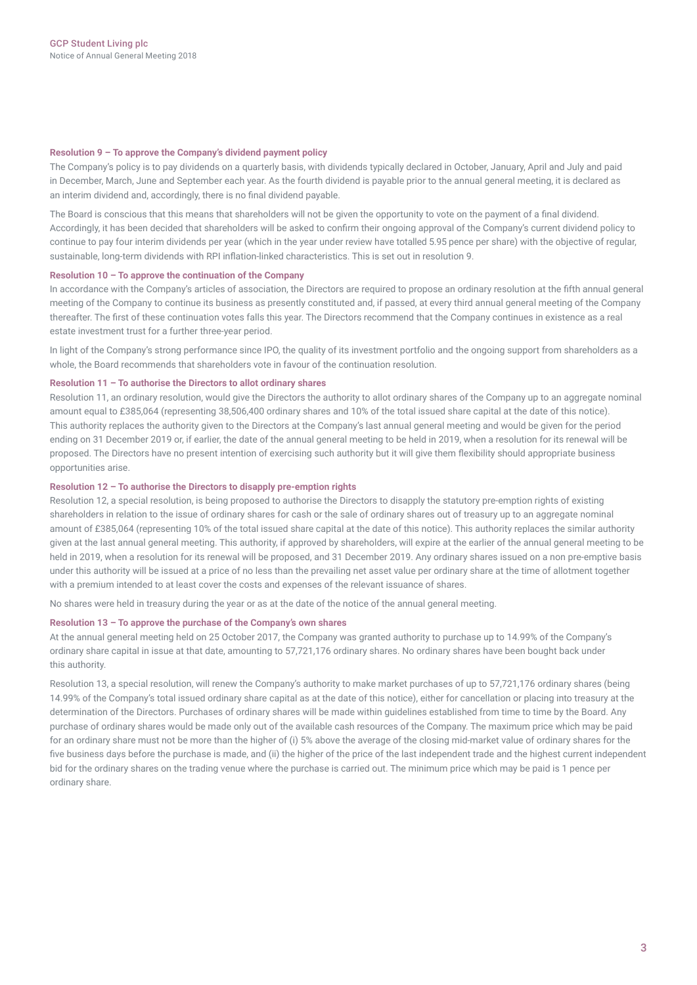#### **Resolution 9 – To approve the Company's dividend payment policy**

The Company's policy is to pay dividends on a quarterly basis, with dividends typically declared in October, January, April and July and paid in December, March, June and September each year. As the fourth dividend is payable prior to the annual general meeting, it is declared as an interim dividend and, accordingly, there is no final dividend payable.

The Board is conscious that this means that shareholders will not be given the opportunity to vote on the payment of a final dividend. Accordingly, it has been decided that shareholders will be asked to confirm their ongoing approval of the Company's current dividend policy to continue to pay four interim dividends per year (which in the year under review have totalled 5.95 pence per share) with the objective of regular, sustainable, long-term dividends with RPI inflation-linked characteristics. This is set out in resolution 9.

### **Resolution 10 – To approve the continuation of the Company**

In accordance with the Company's articles of association, the Directors are required to propose an ordinary resolution at the fifth annual general meeting of the Company to continue its business as presently constituted and, if passed, at every third annual general meeting of the Company thereafter. The first of these continuation votes falls this year. The Directors recommend that the Company continues in existence as a real estate investment trust for a further three-year period.

In light of the Company's strong performance since IPO, the quality of its investment portfolio and the ongoing support from shareholders as a whole, the Board recommends that shareholders vote in favour of the continuation resolution.

### **Resolution 11 – To authorise the Directors to allot ordinary shares**

Resolution 11, an ordinary resolution, would give the Directors the authority to allot ordinary shares of the Company up to an aggregate nominal amount equal to £385,064 (representing 38,506,400 ordinary shares and 10% of the total issued share capital at the date of this notice). This authority replaces the authority given to the Directors at the Company's last annual general meeting and would be given for the period ending on 31 December 2019 or, if earlier, the date of the annual general meeting to be held in 2019, when a resolution for its renewal will be proposed. The Directors have no present intention of exercising such authority but it will give them flexibility should appropriate business opportunities arise.

## **Resolution 12 – To authorise the Directors to disapply pre‑emption rights**

Resolution 12, a special resolution, is being proposed to authorise the Directors to disapply the statutory pre-emption rights of existing shareholders in relation to the issue of ordinary shares for cash or the sale of ordinary shares out of treasury up to an aggregate nominal amount of £385,064 (representing 10% of the total issued share capital at the date of this notice). This authority replaces the similar authority given at the last annual general meeting. This authority, if approved by shareholders, will expire at the earlier of the annual general meeting to be held in 2019, when a resolution for its renewal will be proposed, and 31 December 2019. Any ordinary shares issued on a non pre-emptive basis under this authority will be issued at a price of no less than the prevailing net asset value per ordinary share at the time of allotment together with a premium intended to at least cover the costs and expenses of the relevant issuance of shares.

No shares were held in treasury during the year or as at the date of the notice of the annual general meeting.

#### **Resolution 13 – To approve the purchase of the Company's own shares**

At the annual general meeting held on 25 October 2017, the Company was granted authority to purchase up to 14.99% of the Company's ordinary share capital in issue at that date, amounting to 57,721,176 ordinary shares. No ordinary shares have been bought back under this authority.

Resolution 13, a special resolution, will renew the Company's authority to make market purchases of up to 57,721,176 ordinary shares (being 14.99% of the Company's total issued ordinary share capital as at the date of this notice), either for cancellation or placing into treasury at the determination of the Directors. Purchases of ordinary shares will be made within guidelines established from time to time by the Board. Any purchase of ordinary shares would be made only out of the available cash resources of the Company. The maximum price which may be paid for an ordinary share must not be more than the higher of (i) 5% above the average of the closing mid-market value of ordinary shares for the five business days before the purchase is made, and (ii) the higher of the price of the last independent trade and the highest current independent bid for the ordinary shares on the trading venue where the purchase is carried out. The minimum price which may be paid is 1 pence per ordinary share.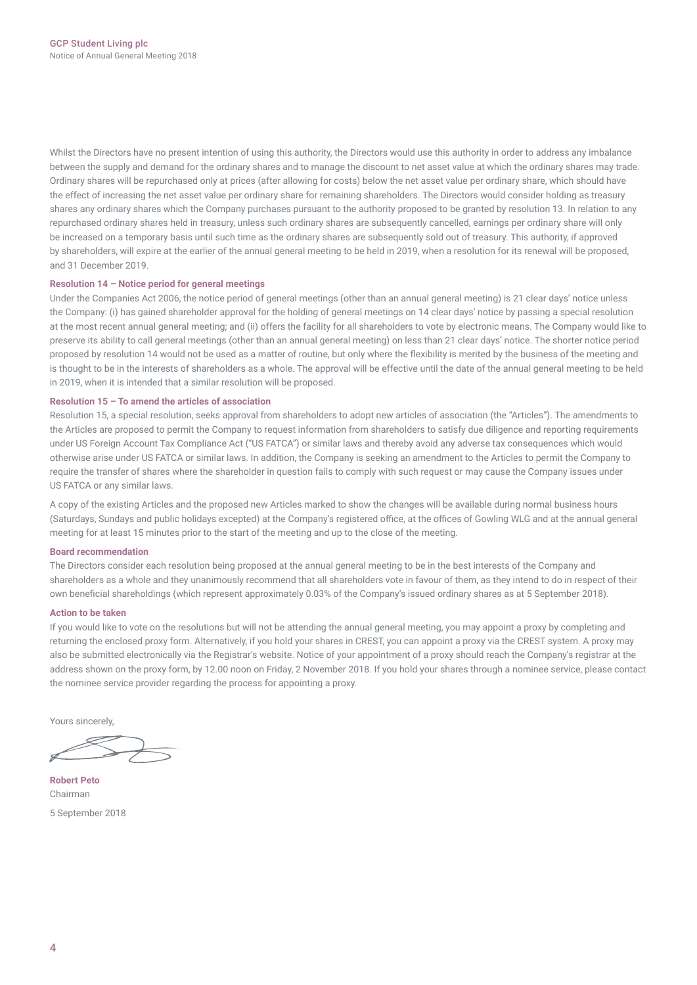Whilst the Directors have no present intention of using this authority, the Directors would use this authority in order to address any imbalance between the supply and demand for the ordinary shares and to manage the discount to net asset value at which the ordinary shares may trade. Ordinary shares will be repurchased only at prices (after allowing for costs) below the net asset value per ordinary share, which should have the effect of increasing the net asset value per ordinary share for remaining shareholders. The Directors would consider holding as treasury shares any ordinary shares which the Company purchases pursuant to the authority proposed to be granted by resolution 13. In relation to any repurchased ordinary shares held in treasury, unless such ordinary shares are subsequently cancelled, earnings per ordinary share will only be increased on a temporary basis until such time as the ordinary shares are subsequently sold out of treasury. This authority, if approved by shareholders, will expire at the earlier of the annual general meeting to be held in 2019, when a resolution for its renewal will be proposed, and 31 December 2019.

### **Resolution 14 – Notice period for general meetings**

Under the Companies Act 2006, the notice period of general meetings (other than an annual general meeting) is 21 clear days' notice unless the Company: (i) has gained shareholder approval for the holding of general meetings on 14 clear days' notice by passing a special resolution at the most recent annual general meeting; and (ii) offers the facility for all shareholders to vote by electronic means. The Company would like to preserve its ability to call general meetings (other than an annual general meeting) on less than 21 clear days' notice. The shorter notice period proposed by resolution 14 would not be used as a matter of routine, but only where the flexibility is merited by the business of the meeting and is thought to be in the interests of shareholders as a whole. The approval will be effective until the date of the annual general meeting to be held in 2019, when it is intended that a similar resolution will be proposed.

## **Resolution 15 – To amend the articles of association**

Resolution 15, a special resolution, seeks approval from shareholders to adopt new articles of association (the "Articles"). The amendments to the Articles are proposed to permit the Company to request information from shareholders to satisfy due diligence and reporting requirements under US Foreign Account Tax Compliance Act ("US FATCA") or similar laws and thereby avoid any adverse tax consequences which would otherwise arise under US FATCA or similar laws. In addition, the Company is seeking an amendment to the Articles to permit the Company to require the transfer of shares where the shareholder in question fails to comply with such request or may cause the Company issues under US FATCA or any similar laws.

A copy of the existing Articles and the proposed new Articles marked to show the changes will be available during normal business hours (Saturdays, Sundays and public holidays excepted) at the Company's registered office, at the offices of Gowling WLG and at the annual general meeting for at least 15 minutes prior to the start of the meeting and up to the close of the meeting.

### **Board recommendation**

The Directors consider each resolution being proposed at the annual general meeting to be in the best interests of the Company and shareholders as a whole and they unanimously recommend that all shareholders vote in favour of them, as they intend to do in respect of their own beneficial shareholdings (which represent approximately 0.03% of the Company's issued ordinary shares as at 5 September 2018).

### **Action to be taken**

If you would like to vote on the resolutions but will not be attending the annual general meeting, you may appoint a proxy by completing and returning the enclosed proxy form. Alternatively, if you hold your shares in CREST, you can appoint a proxy via the CREST system. A proxy may also be submitted electronically via the Registrar's website. Notice of your appointment of a proxy should reach the Company's registrar at the address shown on the proxy form, by 12.00 noon on Friday, 2 November 2018. If you hold your shares through a nominee service, please contact the nominee service provider regarding the process for appointing a proxy.

Yours sincerely,

**Robert Peto** Chairman 5 September 2018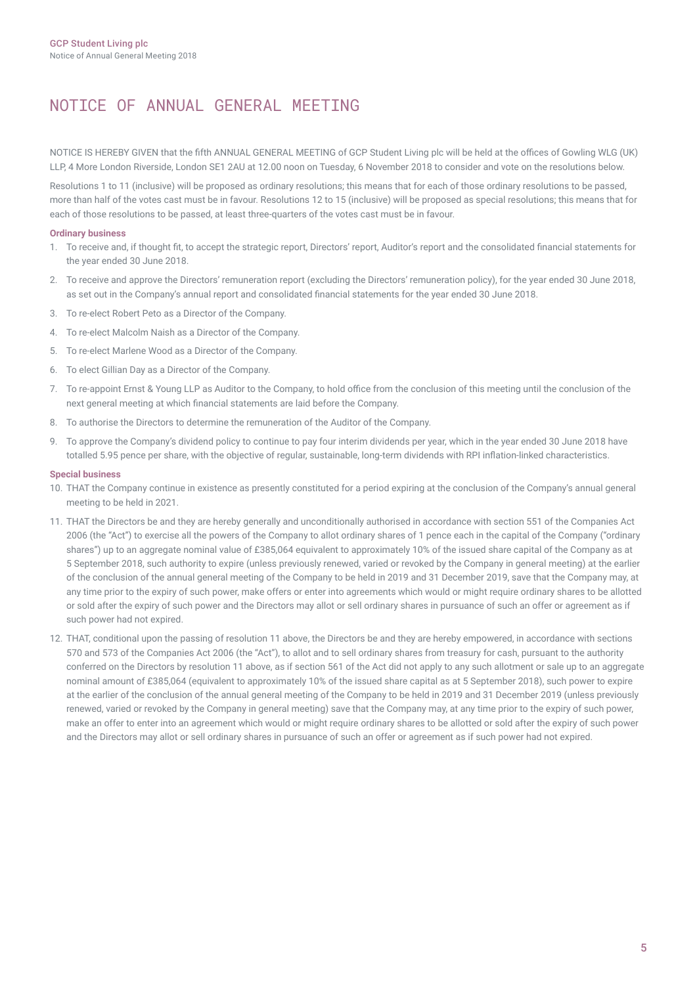# NOTICE OF ANNUAL GENERAL MEETING

NOTICE IS HEREBY GIVEN that the fifth ANNUAL GENERAL MEETING of GCP Student Living plc will be held at the offices of Gowling WLG (UK) LLP, 4 More London Riverside, London SE1 2AU at 12.00 noon on Tuesday, 6 November 2018 to consider and vote on the resolutions below.

Resolutions 1 to 11 (inclusive) will be proposed as ordinary resolutions; this means that for each of those ordinary resolutions to be passed, more than half of the votes cast must be in favour. Resolutions 12 to 15 (inclusive) will be proposed as special resolutions; this means that for each of those resolutions to be passed, at least three‑quarters of the votes cast must be in favour.

## **Ordinary business**

- 1. To receive and, if thought fit, to accept the strategic report, Directors' report, Auditor's report and the consolidated financial statements for the year ended 30 June 2018.
- 2. To receive and approve the Directors' remuneration report (excluding the Directors' remuneration policy), for the year ended 30 June 2018, as set out in the Company's annual report and consolidated financial statements for the year ended 30 June 2018.
- 3. To re‑elect Robert Peto as a Director of the Company.
- 4. To re‑elect Malcolm Naish as a Director of the Company.
- 5. To re‑elect Marlene Wood as a Director of the Company.
- 6. To elect Gillian Day as a Director of the Company.
- 7. To re-appoint Ernst & Young LLP as Auditor to the Company, to hold office from the conclusion of this meeting until the conclusion of the next general meeting at which financial statements are laid before the Company.
- 8. To authorise the Directors to determine the remuneration of the Auditor of the Company.
- 9. To approve the Company's dividend policy to continue to pay four interim dividends per year, which in the year ended 30 June 2018 have totalled 5.95 pence per share, with the objective of regular, sustainable, long-term dividends with RPI inflation-linked characteristics.

## **Special business**

- 10. THAT the Company continue in existence as presently constituted for a period expiring at the conclusion of the Company's annual general meeting to be held in 2021.
- 11. THAT the Directors be and they are hereby generally and unconditionally authorised in accordance with section 551 of the Companies Act 2006 (the "Act") to exercise all the powers of the Company to allot ordinary shares of 1 pence each in the capital of the Company ("ordinary shares") up to an aggregate nominal value of £385,064 equivalent to approximately 10% of the issued share capital of the Company as at 5 September 2018, such authority to expire (unless previously renewed, varied or revoked by the Company in general meeting) at the earlier of the conclusion of the annual general meeting of the Company to be held in 2019 and 31 December 2019, save that the Company may, at any time prior to the expiry of such power, make offers or enter into agreements which would or might require ordinary shares to be allotted or sold after the expiry of such power and the Directors may allot or sell ordinary shares in pursuance of such an offer or agreement as if such power had not expired.
- 12. THAT, conditional upon the passing of resolution 11 above, the Directors be and they are hereby empowered, in accordance with sections 570 and 573 of the Companies Act 2006 (the "Act"), to allot and to sell ordinary shares from treasury for cash, pursuant to the authority conferred on the Directors by resolution 11 above, as if section 561 of the Act did not apply to any such allotment or sale up to an aggregate nominal amount of £385,064 (equivalent to approximately 10% of the issued share capital as at 5 September 2018), such power to expire at the earlier of the conclusion of the annual general meeting of the Company to be held in 2019 and 31 December 2019 (unless previously renewed, varied or revoked by the Company in general meeting) save that the Company may, at any time prior to the expiry of such power, make an offer to enter into an agreement which would or might require ordinary shares to be allotted or sold after the expiry of such power and the Directors may allot or sell ordinary shares in pursuance of such an offer or agreement as if such power had not expired.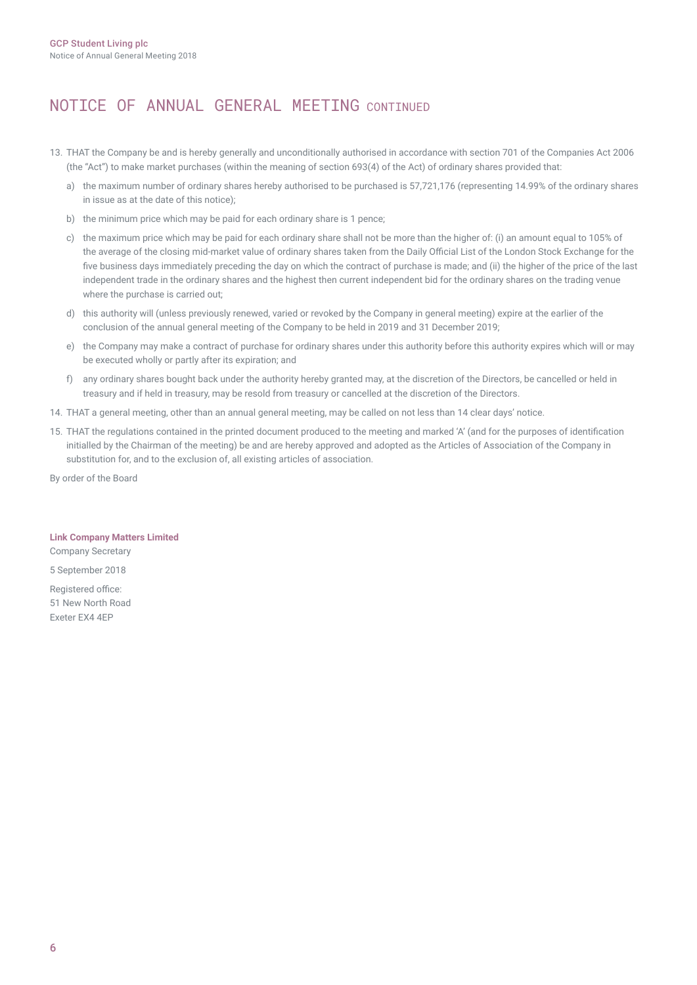# NOTICE OF ANNUAL GENERAL MEETING CONTINUED

- 13. THAT the Company be and is hereby generally and unconditionally authorised in accordance with section 701 of the Companies Act 2006 (the "Act") to make market purchases (within the meaning of section 693(4) of the Act) of ordinary shares provided that:
	- a) the maximum number of ordinary shares hereby authorised to be purchased is 57,721,176 (representing 14.99% of the ordinary shares in issue as at the date of this notice);
	- b) the minimum price which may be paid for each ordinary share is 1 pence;
	- c) the maximum price which may be paid for each ordinary share shall not be more than the higher of: (i) an amount equal to 105% of the average of the closing mid-market value of ordinary shares taken from the Daily Official List of the London Stock Exchange for the five business days immediately preceding the day on which the contract of purchase is made; and (ii) the higher of the price of the last independent trade in the ordinary shares and the highest then current independent bid for the ordinary shares on the trading venue where the purchase is carried out;
	- d) this authority will (unless previously renewed, varied or revoked by the Company in general meeting) expire at the earlier of the conclusion of the annual general meeting of the Company to be held in 2019 and 31 December 2019;
	- e) the Company may make a contract of purchase for ordinary shares under this authority before this authority expires which will or may be executed wholly or partly after its expiration; and
	- f) any ordinary shares bought back under the authority hereby granted may, at the discretion of the Directors, be cancelled or held in treasury and if held in treasury, may be resold from treasury or cancelled at the discretion of the Directors.
- 14. THAT a general meeting, other than an annual general meeting, may be called on not less than 14 clear days' notice.
- 15. THAT the regulations contained in the printed document produced to the meeting and marked 'A' (and for the purposes of identification initialled by the Chairman of the meeting) be and are hereby approved and adopted as the Articles of Association of the Company in substitution for, and to the exclusion of, all existing articles of association.

By order of the Board

### **Link Company Matters Limited**

Company Secretary 5 September 2018

Registered office: 51 New North Road Exeter EX4 4EP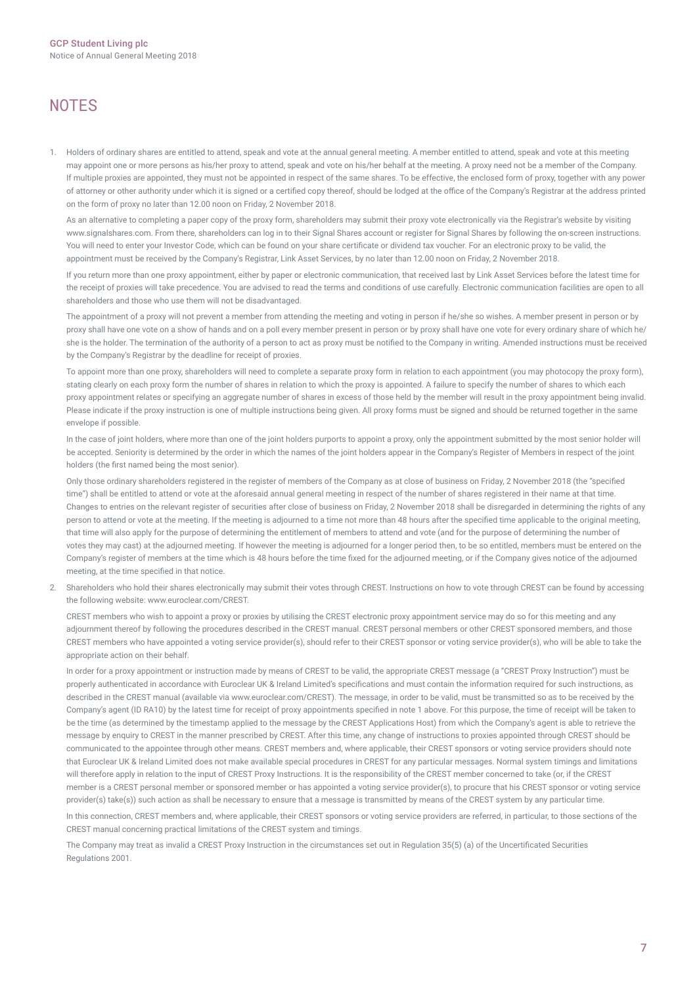# **NOTES**

1. Holders of ordinary shares are entitled to attend, speak and vote at the annual general meeting. A member entitled to attend, speak and vote at this meeting may appoint one or more persons as his/her proxy to attend, speak and vote on his/her behalf at the meeting. A proxy need not be a member of the Company. If multiple proxies are appointed, they must not be appointed in respect of the same shares. To be effective, the enclosed form of proxy, together with any power of attorney or other authority under which it is signed or a certified copy thereof, should be lodged at the office of the Company's Registrar at the address printed on the form of proxy no later than 12.00 noon on Friday, 2 November 2018.

As an alternative to completing a paper copy of the proxy form, shareholders may submit their proxy vote electronically via the Registrar's website by visiting www.signalshares.com. From there, shareholders can log in to their Signal Shares account or register for Signal Shares by following the on-screen instructions. You will need to enter your Investor Code, which can be found on your share certificate or dividend tax voucher. For an electronic proxy to be valid, the appointment must be received by the Company's Registrar, Link Asset Services, by no later than 12.00 noon on Friday, 2 November 2018.

If you return more than one proxy appointment, either by paper or electronic communication, that received last by Link Asset Services before the latest time for the receipt of proxies will take precedence. You are advised to read the terms and conditions of use carefully. Electronic communication facilities are open to all shareholders and those who use them will not be disadvantaged.

The appointment of a proxy will not prevent a member from attending the meeting and voting in person if he/she so wishes. A member present in person or by proxy shall have one vote on a show of hands and on a poll every member present in person or by proxy shall have one vote for every ordinary share of which he/ she is the holder. The termination of the authority of a person to act as proxy must be notified to the Company in writing. Amended instructions must be received by the Company's Registrar by the deadline for receipt of proxies.

To appoint more than one proxy, shareholders will need to complete a separate proxy form in relation to each appointment (you may photocopy the proxy form), stating clearly on each proxy form the number of shares in relation to which the proxy is appointed. A failure to specify the number of shares to which each proxy appointment relates or specifying an aggregate number of shares in excess of those held by the member will result in the proxy appointment being invalid. Please indicate if the proxy instruction is one of multiple instructions being given. All proxy forms must be signed and should be returned together in the same envelope if possible.

In the case of joint holders, where more than one of the joint holders purports to appoint a proxy, only the appointment submitted by the most senior holder will be accepted. Seniority is determined by the order in which the names of the joint holders appear in the Company's Register of Members in respect of the joint holders (the first named being the most senior).

Only those ordinary shareholders registered in the register of members of the Company as at close of business on Friday, 2 November 2018 (the "specified time") shall be entitled to attend or vote at the aforesaid annual general meeting in respect of the number of shares registered in their name at that time. Changes to entries on the relevant register of securities after close of business on Friday, 2 November 2018 shall be disregarded in determining the rights of any person to attend or vote at the meeting. If the meeting is adjourned to a time not more than 48 hours after the specified time applicable to the original meeting, that time will also apply for the purpose of determining the entitlement of members to attend and vote (and for the purpose of determining the number of votes they may cast) at the adjourned meeting. If however the meeting is adjourned for a longer period then, to be so entitled, members must be entered on the Company's register of members at the time which is 48 hours before the time fixed for the adjourned meeting, or if the Company gives notice of the adjourned meeting, at the time specified in that notice.

2. Shareholders who hold their shares electronically may submit their votes through CREST. Instructions on how to vote through CREST can be found by accessing the following website: www.euroclear.com/CREST.

CREST members who wish to appoint a proxy or proxies by utilising the CREST electronic proxy appointment service may do so for this meeting and any adjournment thereof by following the procedures described in the CREST manual. CREST personal members or other CREST sponsored members, and those CREST members who have appointed a voting service provider(s), should refer to their CREST sponsor or voting service provider(s), who will be able to take the appropriate action on their behalf.

In order for a proxy appointment or instruction made by means of CREST to be valid, the appropriate CREST message (a "CREST Proxy Instruction") must be properly authenticated in accordance with Euroclear UK & Ireland Limited's specifications and must contain the information required for such instructions, as described in the CREST manual (available via www.euroclear.com/CREST). The message, in order to be valid, must be transmitted so as to be received by the Company's agent (ID RA10) by the latest time for receipt of proxy appointments specified in note 1 above. For this purpose, the time of receipt will be taken to be the time (as determined by the timestamp applied to the message by the CREST Applications Host) from which the Company's agent is able to retrieve the message by enquiry to CREST in the manner prescribed by CREST. After this time, any change of instructions to proxies appointed through CREST should be communicated to the appointee through other means. CREST members and, where applicable, their CREST sponsors or voting service providers should note that Euroclear UK & Ireland Limited does not make available special procedures in CREST for any particular messages. Normal system timings and limitations will therefore apply in relation to the input of CREST Proxy Instructions. It is the responsibility of the CREST member concerned to take (or, if the CREST member is a CREST personal member or sponsored member or has appointed a voting service provider(s), to procure that his CREST sponsor or voting service provider(s) take(s)) such action as shall be necessary to ensure that a message is transmitted by means of the CREST system by any particular time.

In this connection, CREST members and, where applicable, their CREST sponsors or voting service providers are referred, in particular, to those sections of the CREST manual concerning practical limitations of the CREST system and timings.

The Company may treat as invalid a CREST Proxy Instruction in the circumstances set out in Regulation 35(5) (a) of the Uncertificated Securities Regulations 2001.